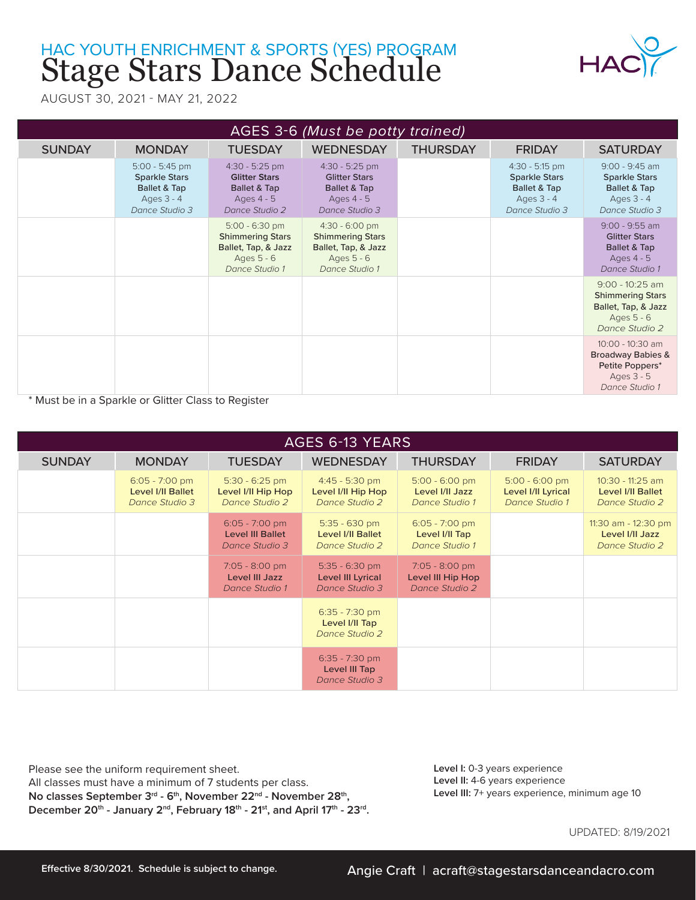## Stage Stars Dance Schedule HAC YOUTH ENRICHMENT & SPORTS (YES) PROGRAM



AUGUST 30, 2021 - MAY 21, 2022

| AGES 3-6 (Must be potty trained) |                                                                                            |                                                                                                    |                                                                                                    |                 |                                                                                            |                                                                                                       |  |
|----------------------------------|--------------------------------------------------------------------------------------------|----------------------------------------------------------------------------------------------------|----------------------------------------------------------------------------------------------------|-----------------|--------------------------------------------------------------------------------------------|-------------------------------------------------------------------------------------------------------|--|
| <b>SUNDAY</b>                    | <b>MONDAY</b>                                                                              | <b>TUESDAY</b>                                                                                     | <b>WEDNESDAY</b>                                                                                   | <b>THURSDAY</b> | <b>FRIDAY</b>                                                                              | <b>SATURDAY</b>                                                                                       |  |
|                                  | $5:00 - 5:45$ pm<br><b>Sparkle Stars</b><br>Ballet & Tap<br>Ages $3 - 4$<br>Dance Studio 3 | $4:30 - 5:25$ pm<br><b>Glitter Stars</b><br>Ballet & Tap<br>Ages $4 - 5$<br>Dance Studio 2         | $4:30 - 5:25$ pm<br><b>Glitter Stars</b><br>Ballet & Tap<br>Ages 4 - 5<br>Dance Studio 3           |                 | $4:30 - 5:15$ pm<br><b>Sparkle Stars</b><br>Ballet & Tap<br>Ages $3 - 4$<br>Dance Studio 3 | $9:00 - 9:45$ am<br><b>Sparkle Stars</b><br><b>Ballet &amp; Tap</b><br>Ages $3 - 4$<br>Dance Studio 3 |  |
|                                  |                                                                                            | $5:00 - 6:30$ pm<br><b>Shimmering Stars</b><br>Ballet, Tap, & Jazz<br>Ages 5 - 6<br>Dance Studio 1 | $4:30 - 6:00$ pm<br><b>Shimmering Stars</b><br>Ballet, Tap, & Jazz<br>Ages 5 - 6<br>Dance Studio 1 |                 |                                                                                            | $9:00 - 9:55$ am<br><b>Glitter Stars</b><br><b>Ballet &amp; Tap</b><br>Ages $4 - 5$<br>Dance Studio 1 |  |
|                                  |                                                                                            |                                                                                                    |                                                                                                    |                 |                                                                                            | $9:00 - 10:25$ am<br><b>Shimmering Stars</b><br>Ballet, Tap, & Jazz<br>Ages 5 - 6<br>Dance Studio 2   |  |
|                                  |                                                                                            |                                                                                                    |                                                                                                    |                 |                                                                                            | 10:00 - 10:30 am<br><b>Broadway Babies &amp;</b><br>Petite Poppers*<br>Ages 3 - 5<br>Dance Studio 1   |  |

\* Must be in a Sparkle or Glitter Class to Register

| AGES 6-13 YEARS |                                                                |                                                               |                                                               |                                                         |                                                          |                                                                |  |
|-----------------|----------------------------------------------------------------|---------------------------------------------------------------|---------------------------------------------------------------|---------------------------------------------------------|----------------------------------------------------------|----------------------------------------------------------------|--|
| <b>SUNDAY</b>   | <b>MONDAY</b>                                                  | <b>TUESDAY</b>                                                | <b>WEDNESDAY</b>                                              | <b>THURSDAY</b>                                         | <b>FRIDAY</b>                                            | <b>SATURDAY</b>                                                |  |
|                 | $6:05 - 7:00$ pm<br><b>Level I/II Ballet</b><br>Dance Studio 3 | $5:30 - 6:25$ pm<br>Level I/II Hip Hop<br>Dance Studio 2      | $4:45 - 5:30$ pm<br>Level I/II Hip Hop<br>Dance Studio 2      | $5:00 - 6:00$ pm<br>Level I/II Jazz<br>Dance Studio 1   | $5:00 - 6:00$ pm<br>Level I/II Lyrical<br>Dance Studio 1 | 10:30 - 11:25 am<br><b>Level I/II Ballet</b><br>Dance Studio 2 |  |
|                 |                                                                | $6:05 - 7:00$ pm<br><b>Level III Ballet</b><br>Dance Studio 3 | $5:35 - 630$ pm<br><b>Level I/II Ballet</b><br>Dance Studio 2 | $6:05 - 7:00$ pm<br>Level I/II Tap<br>Dance Studio 1    |                                                          | 11:30 am - 12:30 pm<br>Level I/II Jazz<br>Dance Studio 2       |  |
|                 |                                                                | 7:05 - 8:00 pm<br>Level III Jazz<br>Dance Studio 1            | $5:35 - 6:30$ pm<br>Level III Lyrical<br>Dance Studio 3       | $7:05 - 8:00$ pm<br>Level III Hip Hop<br>Dance Studio 2 |                                                          |                                                                |  |
|                 |                                                                |                                                               | $6:35 - 7:30$ pm<br>Level I/II Tap<br>Dance Studio 2          |                                                         |                                                          |                                                                |  |
|                 |                                                                |                                                               | $6:35 - 7:30$ pm<br>Level III Tap<br>Dance Studio 3           |                                                         |                                                          |                                                                |  |

Please see the uniform requirement sheet. All classes must have a minimum of 7 students per class. **No classes September 3rd - 6th, November 22nd - November 28th,**  December 20<sup>th</sup> - January 2<sup>nd</sup>, February 18<sup>th</sup> - 21<sup>st</sup>, and April 17<sup>th</sup> - 23<sup>rd</sup>. **Level I:** 0-3 years experience **Level II:** 4-6 years experience **Level III:** 7+ years experience, minimum age 10

UPDATED: 8/19/2021